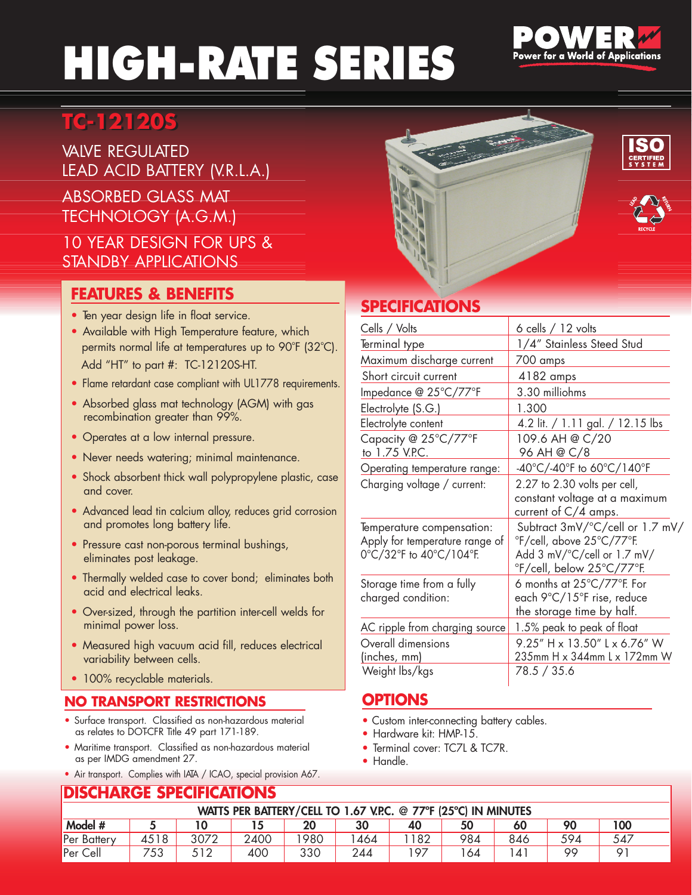# HIGH-RATE SERIES



## **TC-12120S TC-12120S**

**VAIVE REGULATED** LEAD ACID BATTERY (V.R.L.A.)

ABSORBED GLASS MAT TECHNOLOGY (A.G.M.)

#### 10 YEAR DESIGN FOR UPS & STANDBY APPLICATIONS

### **FEATURES & BENEFITS**

- Ten year design life in float service.
- Available with High Temperature feature, which permits normal life at temperatures up to 90°F (32°C). Add "HT" to part #: TC-12120S-HT.
- Flame retardant case compliant with UL1778 requirements.
- Absorbed glass mat technology (AGM) with gas recombination greater than 99%.
- Operates at a low internal pressure.
- Never needs watering; minimal maintenance.
- Shock absorbent thick wall polypropylene plastic, case and cover.
- Advanced lead tin calcium alloy, reduces grid corrosion and promotes long battery life.
- Pressure cast non-porous terminal bushings, eliminates post leakage.
- Thermally welded case to cover bond; eliminates both acid and electrical leaks.
- Over-sized, through the partition inter-cell welds for minimal power loss.
- Measured high vacuum acid fill, reduces electrical variability between cells.
- 100% recyclable materials.

#### **NO TRANSPORT RESTRICTIONS**

- Surface transport. Classified as non-hazardous material as relates to DOT-CFR Title 49 part 171-189.
- Maritime transport. Classified as non-hazardous material as per IMDG amendment 27.
- Air transport. Complies with IATA / ICAO, special provision A67.

### **SPECIFICATIONS**

| Cells / Volts                                                                          | $6$ cells $/12$ volts                                                                                                                       |
|----------------------------------------------------------------------------------------|---------------------------------------------------------------------------------------------------------------------------------------------|
| Terminal type                                                                          | 1/4" Stainless Steed Stud                                                                                                                   |
| Maximum discharge current                                                              | 700 amps                                                                                                                                    |
| Short circuit current                                                                  | 4182 amps                                                                                                                                   |
| Impedance @ 25°C/77°F                                                                  | 3.30 milliohms                                                                                                                              |
| Electrolyte (S.G.)                                                                     | 1.300                                                                                                                                       |
| Electrolyte content                                                                    | 4.2 lit. / 1.11 gal. / 12.15 lbs                                                                                                            |
| Capacity @ 25°C/77°F<br>to 1.75 V.P.C.                                                 | 109.6 AH @ C/20<br>96 AH @ C/8                                                                                                              |
| Operating temperature range:                                                           | -40°C/-40°F to 60°C/140°F                                                                                                                   |
| Charging voltage / current:                                                            | 2.27 to 2.30 volts per cell,<br>constant voltage at a maximum<br>current of $C/4$ amps.                                                     |
| Temperature compensation:<br>Apply for temperature range of<br>0°C/32°F to 40°C/104°F. | Subtract 3mV/°C/cell or 1.7 mV/<br>°F/cell, above 25°C/77°F.<br>Add $3 \text{ mV}$ $\degree$ C/cell or 1.7 mV/<br>°F/cell, below 25°C/77°F. |
| Storage time from a fully<br>charged condition:                                        | 6 months at $25^{\circ}$ C/77 $^{\circ}$ F. For<br>each 9°C/15°F rise, reduce<br>the storage time by half.                                  |
| AC ripple from charging source                                                         | 1.5% peak to peak of float                                                                                                                  |
| Overall dimensions<br>(inches, mm)                                                     | 9.25" H x 13.50" L x 6.76" W<br>235mm H x 344mm L x 172mm W                                                                                 |
| Weight lbs/kgs                                                                         | 78.5 / 35.6                                                                                                                                 |

#### **OPTIONS**

- Custom inter-connecting battery cables.
- Hardware kit: HMP-15.
- Terminal cover: TC7L & TC7R.
- Handle.

#### **DISCHARGE SPECIFICATIONS** WATTS PER BATTERY/CELL TO 1.67 V.P.C. @ 77°F (25°C) IN MINUTES Model # | 5 | 10 | 15 | 20 | 30 | 40 | 50 | 60 | 90 | 100 Per Battery 4518 3072 2400 1980 1464 1182 984 846 594 547 Per Cell | 753 | 512 | 400 | 330 | 244 | 197 | 164 | 141 | 99 | 91